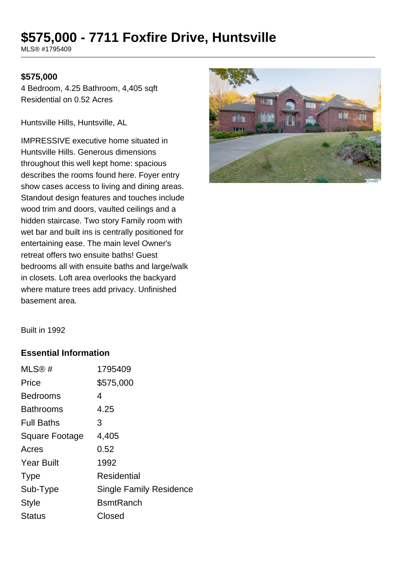# **\$575,000 - 7711 Foxfire Drive, Huntsville**

MLS® #1795409

#### **\$575,000**

4 Bedroom, 4.25 Bathroom, 4,405 sqft Residential on 0.52 Acres

Huntsville Hills, Huntsville, AL

IMPRESSIVE executive home situated in Huntsville Hills. Generous dimensions throughout this well kept home: spacious describes the rooms found here. Foyer entry show cases access to living and dining areas. Standout design features and touches include wood trim and doors, vaulted ceilings and a hidden staircase. Two story Family room with wet bar and built ins is centrally positioned for entertaining ease. The main level Owner's retreat offers two ensuite baths! Guest bedrooms all with ensuite baths and large/walk in closets. Loft area overlooks the backyard where mature trees add privacy. Unfinished basement area.



Built in 1992

#### **Essential Information**

| MLS@#                 | 1795409                        |
|-----------------------|--------------------------------|
| Price                 | \$575,000                      |
| <b>Bedrooms</b>       | 4                              |
| <b>Bathrooms</b>      | 4.25                           |
| <b>Full Baths</b>     | 3                              |
| <b>Square Footage</b> | 4,405                          |
| Acres                 | 0.52                           |
| <b>Year Built</b>     | 1992                           |
| <b>Type</b>           | <b>Residential</b>             |
| Sub-Type              | <b>Single Family Residence</b> |
| <b>Style</b>          | <b>BsmtRanch</b>               |
| <b>Status</b>         | Closed                         |